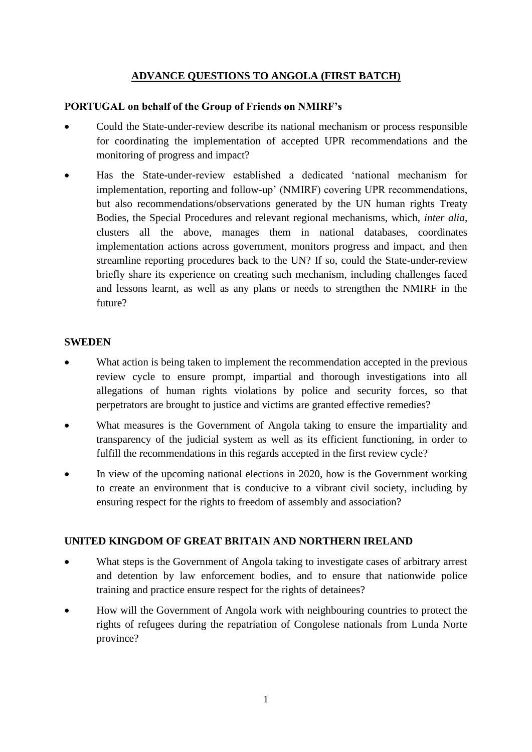# **ADVANCE QUESTIONS TO ANGOLA (FIRST BATCH)**

### **PORTUGAL on behalf of the Group of Friends on NMIRF's**

- Could the State-under-review describe its national mechanism or process responsible for coordinating the implementation of accepted UPR recommendations and the monitoring of progress and impact?
- Has the State-under-review established a dedicated 'national mechanism for implementation, reporting and follow-up' (NMIRF) covering UPR recommendations, but also recommendations/observations generated by the UN human rights Treaty Bodies, the Special Procedures and relevant regional mechanisms, which, *inter alia*, clusters all the above, manages them in national databases, coordinates implementation actions across government, monitors progress and impact, and then streamline reporting procedures back to the UN? If so, could the State-under-review briefly share its experience on creating such mechanism, including challenges faced and lessons learnt, as well as any plans or needs to strengthen the NMIRF in the future?

#### **SWEDEN**

- What action is being taken to implement the recommendation accepted in the previous review cycle to ensure prompt, impartial and thorough investigations into all allegations of human rights violations by police and security forces, so that perpetrators are brought to justice and victims are granted effective remedies?
- What measures is the Government of Angola taking to ensure the impartiality and transparency of the judicial system as well as its efficient functioning, in order to fulfill the recommendations in this regards accepted in the first review cycle?
- In view of the upcoming national elections in 2020, how is the Government working to create an environment that is conducive to a vibrant civil society, including by ensuring respect for the rights to freedom of assembly and association?

### **UNITED KINGDOM OF GREAT BRITAIN AND NORTHERN IRELAND**

- What steps is the Government of Angola taking to investigate cases of arbitrary arrest and detention by law enforcement bodies, and to ensure that nationwide police training and practice ensure respect for the rights of detainees?
- How will the Government of Angola work with neighbouring countries to protect the rights of refugees during the repatriation of Congolese nationals from Lunda Norte province?